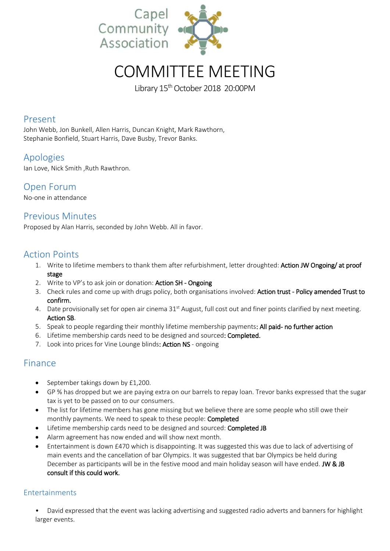

# COMMITTEE MEETING

Library  $15^{th}$  October 2018 20:00PM

## Present

John Webb, Jon Bunkell, Allen Harris, Duncan Knight, Mark Rawthorn, Stephanie Bonfield, Stuart Harris, Dave Busby, Trevor Banks.

# Apologies

Ian Love, Nick Smith ,Ruth Rawthron.

# Open Forum

No-one in attendance

# Previous Minutes

Proposed by Alan Harris, seconded by John Webb. All in favor.

## Action Points

- 1. Write to lifetime members to thank them after refurbishment, letter droughted: Action JW Ongoing/ at proof stage
- 2. Write to VP's to ask join or donation: Action SH Ongoing
- 3. Check rules and come up with drugs policy, both organisations involved: Action trust Policy amended Trust to confirm.
- 4. Date provisionally set for open air cinema 31<sup>st</sup> August, full cost out and finer points clarified by next meeting. Action SB.
- 5. Speak to people regarding their monthly lifetime membership payments: All paid- no further action
- 6. Lifetime membership cards need to be designed and sourced: Completed.
- 7. Look into prices for Vine Lounge blinds: Action NS ongoing

# Finance

- September takings down by £1,200.
- GP % has dropped but we are paying extra on our barrels to repay loan. Trevor banks expressed that the sugar tax is yet to be passed on to our consumers.
- The list for lifetime members has gone missing but we believe there are some people who still owe their monthly payments. We need to speak to these people: Completed
- Lifetime membership cards need to be designed and sourced: **Completed JB**
- Alarm agreement has now ended and will show next month.
- Entertainment is down £470 which is disappointing. It was suggested this was due to lack of advertising of main events and the cancellation of bar Olympics. It was suggested that bar Olympics be held during December as participants will be in the festive mood and main holiday season will have ended. JW & JB consult if this could work.

## Entertainments

• David expressed that the event was lacking advertising and suggested radio adverts and banners for highlight larger events.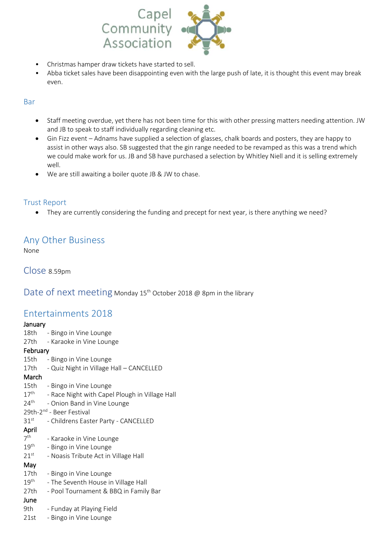

- Christmas hamper draw tickets have started to sell.
- Abba ticket sales have been disappointing even with the large push of late, it is thought this event may break even.

## Bar

- Staff meeting overdue, yet there has not been time for this with other pressing matters needing attention. JW and JB to speak to staff individually regarding cleaning etc.
- Gin Fizz event Adnams have supplied a selection of glasses, chalk boards and posters, they are happy to assist in other ways also. SB suggested that the gin range needed to be revamped as this was a trend which we could make work for us. JB and SB have purchased a selection by Whitley Niell and it is selling extremely well.
- We are still awaiting a boiler quote JB & JW to chase.

## Trust Report

They are currently considering the funding and precept for next year, is there anything we need?

## Any Other Business

None

Close 8.59pm

Date of next meeting Monday 15<sup>th</sup> October 2018 @ 8pm in the library

## Entertainments 2018

## January

18th - Bingo in Vine Lounge 27th - Karaoke in Vine Lounge February 15th - Bingo in Vine Lounge 17th - Quiz Night in Village Hall – CANCELLED March 15th - Bingo in Vine Lounge  $17^{\text{th}}$ - Race Night with Capel Plough in Village Hall  $24<sup>th</sup>$ - Onion Band in Vine Lounge 29th-2<sup>nd</sup> - Beer Festival 31st - Childrens Easter Party - CANCELLED April 7 th - Karaoke in Vine Lounge  $19<sup>th</sup>$ - Bingo in Vine Lounge  $21$ <sup>st</sup> - Noasis Tribute Act in Village Hall May 17th - Bingo in Vine Lounge  $19<sup>th</sup>$ - The Seventh House in Village Hall 27th - Pool Tournament & BBQ in Family Bar June 9th - Funday at Playing Field 21st - Bingo in Vine Lounge